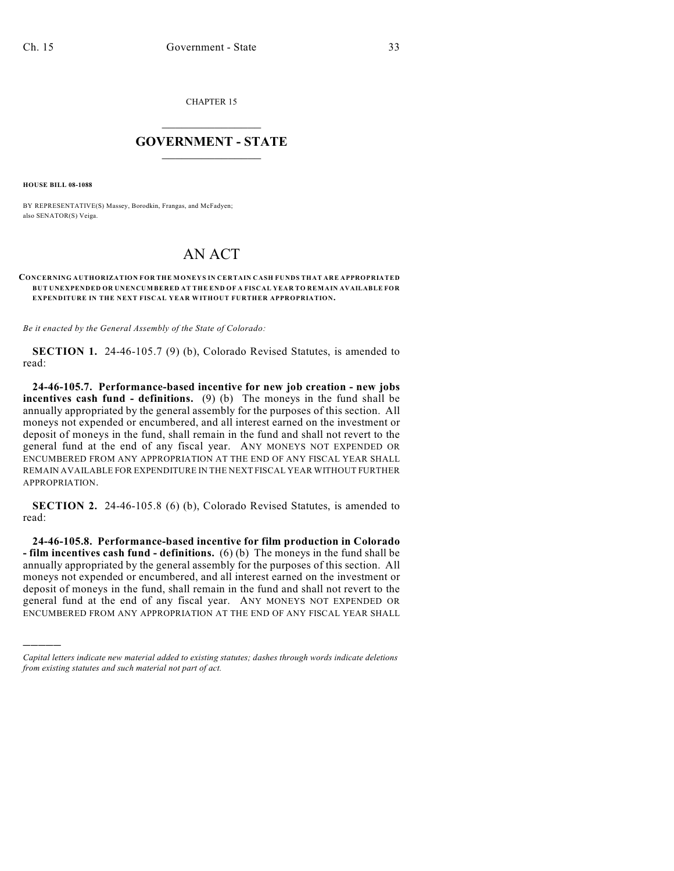CHAPTER 15

## $\overline{\phantom{a}}$  . The set of the set of the set of the set of the set of the set of the set of the set of the set of the set of the set of the set of the set of the set of the set of the set of the set of the set of the set o **GOVERNMENT - STATE**  $\_$

**HOUSE BILL 08-1088**

)))))

BY REPRESENTATIVE(S) Massey, Borodkin, Frangas, and McFadyen; also SENATOR(S) Veiga.

## AN ACT

## **CONCERNING AUTHORIZATION FOR THE MONEYS IN CERTAIN CASH FUNDS THAT ARE APPROPRIATED BUT UNEXPENDED OR UNENCUMBERED AT THE END OF A FISCAL YEAR TO REMAIN AVAILABLE FOR EXPENDITURE IN THE NEXT FISCAL YEAR WITHOUT FURTHER APPROPRIATION.**

*Be it enacted by the General Assembly of the State of Colorado:*

**SECTION 1.** 24-46-105.7 (9) (b), Colorado Revised Statutes, is amended to read:

**24-46-105.7. Performance-based incentive for new job creation - new jobs incentives cash fund - definitions.** (9) (b) The moneys in the fund shall be annually appropriated by the general assembly for the purposes of this section. All moneys not expended or encumbered, and all interest earned on the investment or deposit of moneys in the fund, shall remain in the fund and shall not revert to the general fund at the end of any fiscal year. ANY MONEYS NOT EXPENDED OR ENCUMBERED FROM ANY APPROPRIATION AT THE END OF ANY FISCAL YEAR SHALL REMAIN AVAILABLE FOR EXPENDITURE IN THE NEXT FISCAL YEAR WITHOUT FURTHER APPROPRIATION.

**SECTION 2.** 24-46-105.8 (6) (b), Colorado Revised Statutes, is amended to read:

**24-46-105.8. Performance-based incentive for film production in Colorado - film incentives cash fund - definitions.** (6) (b) The moneys in the fund shall be annually appropriated by the general assembly for the purposes of this section. All moneys not expended or encumbered, and all interest earned on the investment or deposit of moneys in the fund, shall remain in the fund and shall not revert to the general fund at the end of any fiscal year. ANY MONEYS NOT EXPENDED OR ENCUMBERED FROM ANY APPROPRIATION AT THE END OF ANY FISCAL YEAR SHALL

*Capital letters indicate new material added to existing statutes; dashes through words indicate deletions from existing statutes and such material not part of act.*